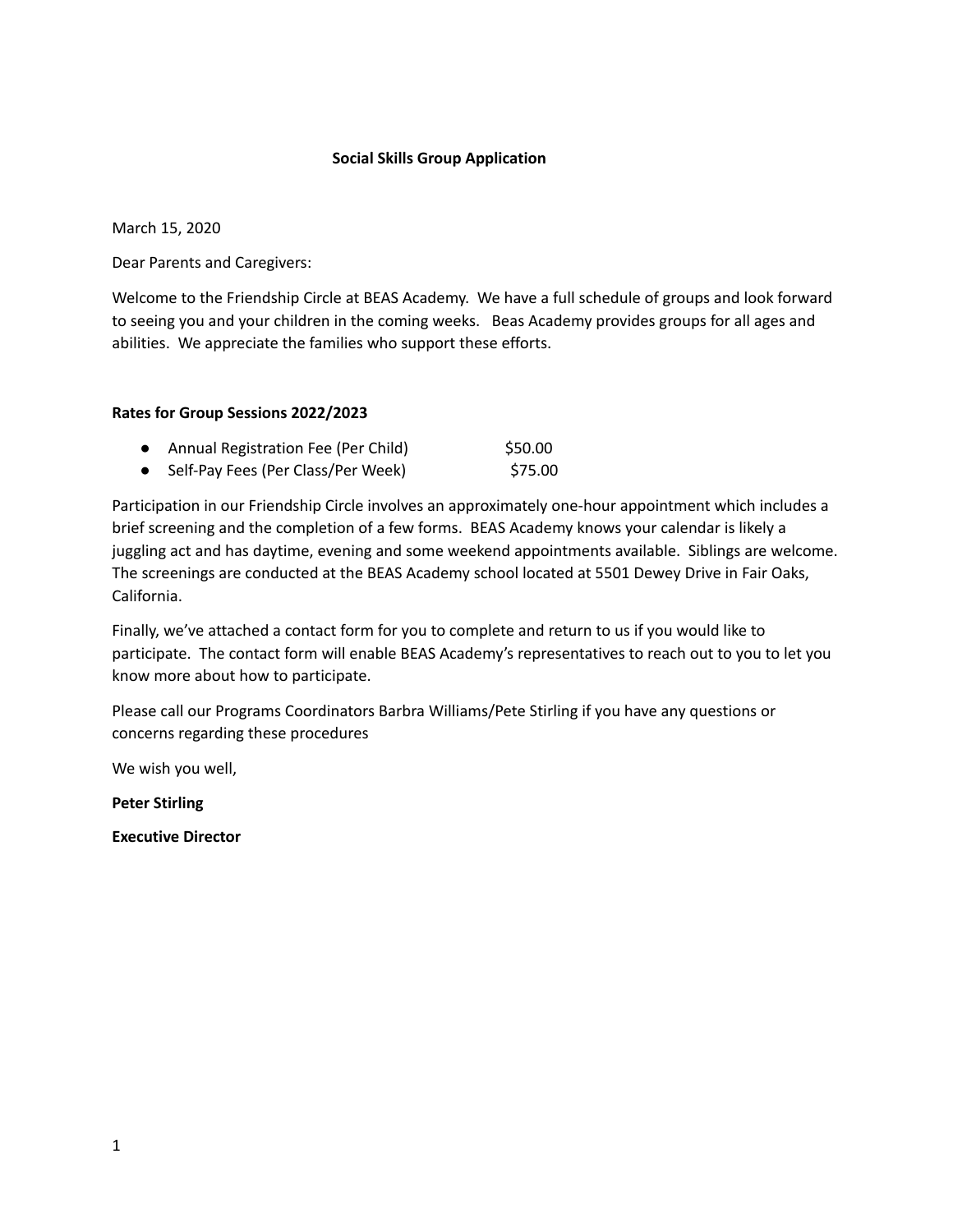## **Social Skills Group Application**

March 15, 2020

Dear Parents and Caregivers:

Welcome to the Friendship Circle at BEAS Academy. We have a full schedule of groups and look forward to seeing you and your children in the coming weeks. Beas Academy provides groups for all ages and abilities. We appreciate the families who support these efforts.

## **Rates for Group Sessions 2022/2023**

| <b>Annual Registration Fee (Per Child)</b> | \$50.00 |
|--------------------------------------------|---------|
| Self-Pay Fees (Per Class/Per Week)         | \$75.00 |

Participation in our Friendship Circle involves an approximately one-hour appointment which includes a brief screening and the completion of a few forms. BEAS Academy knows your calendar is likely a juggling act and has daytime, evening and some weekend appointments available. Siblings are welcome. The screenings are conducted at the BEAS Academy school located at 5501 Dewey Drive in Fair Oaks, California.

Finally, we've attached a contact form for you to complete and return to us if you would like to participate. The contact form will enable BEAS Academy's representatives to reach out to you to let you know more about how to participate.

Please call our Programs Coordinators Barbra Williams/Pete Stirling if you have any questions or concerns regarding these procedures

We wish you well,

**Peter Stirling**

**Executive Director**